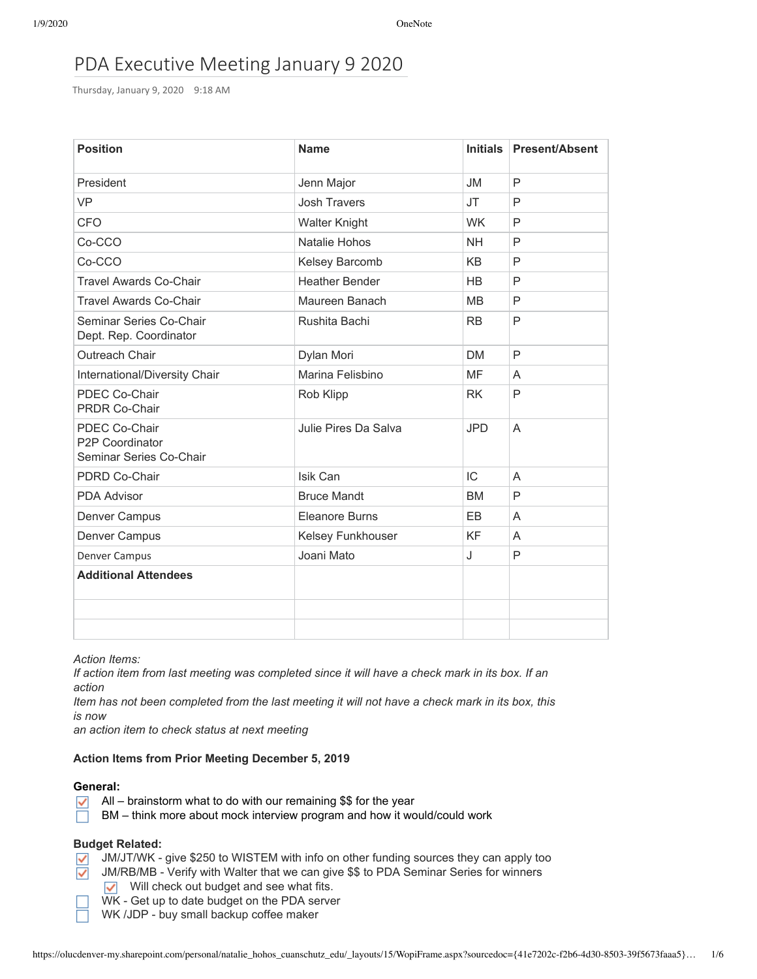# PDA Executive Meeting January 9 2020

Thursday, January 9, 2020 9:18 AM

| <b>Position</b>                                             | <b>Name</b>           | <b>Initials</b> | <b>Present/Absent</b> |
|-------------------------------------------------------------|-----------------------|-----------------|-----------------------|
| President                                                   | Jenn Major            | <b>JM</b>       | P                     |
| <b>VP</b>                                                   | <b>Josh Travers</b>   | JT              | P                     |
| <b>CFO</b>                                                  | <b>Walter Knight</b>  | <b>WK</b>       | P                     |
| Co-CCO                                                      | Natalie Hohos         | <b>NH</b>       | P                     |
| Co-CCO                                                      | Kelsey Barcomb        | <b>KB</b>       | P                     |
| <b>Travel Awards Co-Chair</b>                               | <b>Heather Bender</b> | <b>HB</b>       | P                     |
| <b>Travel Awards Co-Chair</b>                               | Maureen Banach        | <b>MB</b>       | P                     |
| Seminar Series Co-Chair<br>Dept. Rep. Coordinator           | Rushita Bachi         | RB              | P                     |
| Outreach Chair                                              | Dylan Mori            | <b>DM</b>       | P                     |
| International/Diversity Chair                               | Marina Felisbino      | MF              | A                     |
| PDEC Co-Chair<br>PRDR Co-Chair                              | Rob Klipp             | <b>RK</b>       | P                     |
| PDEC Co-Chair<br>P2P Coordinator<br>Seminar Series Co-Chair | Julie Pires Da Salva  | <b>JPD</b>      | A                     |
| PDRD Co-Chair                                               | Isik Can              | IC              | A                     |
| <b>PDA Advisor</b>                                          | <b>Bruce Mandt</b>    | <b>BM</b>       | P                     |
| Denver Campus                                               | <b>Eleanore Burns</b> | EB              | A                     |
| Denver Campus                                               | Kelsey Funkhouser     | KF              | A                     |
| Denver Campus                                               | Joani Mato            | J               | P                     |
| <b>Additional Attendees</b>                                 |                       |                 |                       |
|                                                             |                       |                 |                       |
|                                                             |                       |                 |                       |

*Action Items:*

If action item from last meeting was completed since it will have a check mark in its box. If an *action*

Item has not been completed from the last meeting it will not have a check mark in its box, this *is now*

*an action item to check status at next meeting*

#### **Action Items from Prior Meeting December 5, 2019**

#### **General:**

- $\sqrt{\phantom{a}}$  All brainstorm what to do with our remaining \$\$ for the year
- $\Box$ BM – think more about mock interview program and how it would/could work

#### **Budget Related:**

- JM/JT/WK give \$250 to WISTEM with info on other funding sources they can apply too  $\checkmark$
- $\checkmark$ JM/RB/MB - Verify with Walter that we can give \$\$ to PDA Seminar Series for winners
	- $\triangledown$  Will check out budget and see what fits.
	- WK Get up to date budget on the PDA server
	- WK /JDP buy small backup coffee maker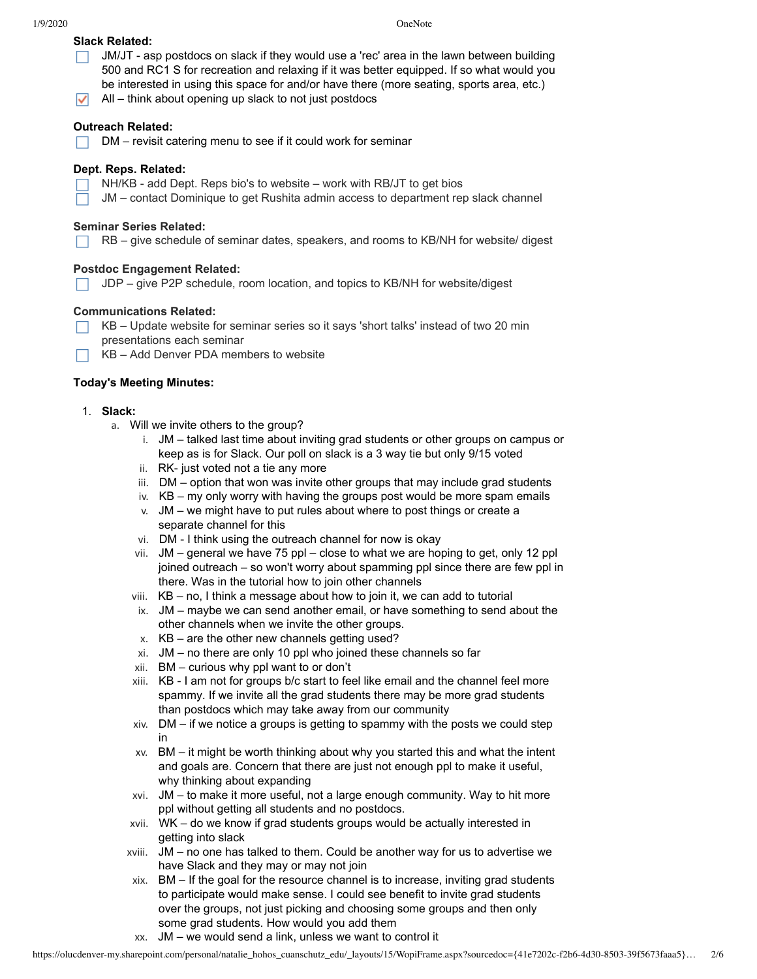#### 1/9/2020 OneNote

#### **Slack Related:**

- $\Box$  JM/JT asp postdocs on slack if they would use a 'rec' area in the lawn between building 500 and RC1 S for recreation and relaxing if it was better equipped. If so what would you be interested in using this space for and/or have there (more seating, sports area, etc.)
- $\sqrt{\phantom{a}}$  All think about opening up slack to not just postdocs

#### **Outreach Related:**

 $\Box$  DM – revisit catering menu to see if it could work for seminar

#### **Dept. Reps. Related:**

- NH/KB add Dept. Reps bio's to website work with RB/JT to get bios
- JM contact Dominique to get Rushita admin access to department rep slack channel

#### **Seminar Series Related:**

 $\Box$  RB – give schedule of seminar dates, speakers, and rooms to KB/NH for website/ digest

#### **Postdoc Engagement Related:**

 $\Box$  JDP – give P2P schedule, room location, and topics to KB/NH for website/digest

#### **Communications Related:**

- $\Box$  KB Update website for seminar series so it says 'short talks' instead of two 20 min presentations each seminar
- $\Box$  KB Add Denver PDA members to website

#### **Today's Meeting Minutes:**

#### 1. **Slack:**

- a. Will we invite others to the group?
	- i. JM talked last time about inviting grad students or other groups on campus or keep as is for Slack. Our poll on slack is a 3 way tie but only 9/15 voted
	- ii. RK- just voted not a tie any more
	- iii. DM option that won was invite other groups that may include grad students
	- iv. KB my only worry with having the groups post would be more spam emails
	- v. JM we might have to put rules about where to post things or create a separate channel for this
	- vi. DM I think using the outreach channel for now is okay
	- vii. JM general we have 75 ppl close to what we are hoping to get, only 12 ppl joined outreach – so won't worry about spamming ppl since there are few ppl in there. Was in the tutorial how to join other channels
	- viii. KB no, I think a message about how to join it, we can add to tutorial
	- ix. JM maybe we can send another email, or have something to send about the other channels when we invite the other groups.
	- x. KB are the other new channels getting used?
	- xi. JM no there are only 10 ppl who joined these channels so far
	- xii. BM curious why ppl want to or don't
	- xiii. KB I am not for groups b/c start to feel like email and the channel feel more spammy. If we invite all the grad students there may be more grad students than postdocs which may take away from our community
	- xiv. DM if we notice a groups is getting to spammy with the posts we could step in
	- xv. BM it might be worth thinking about why you started this and what the intent and goals are. Concern that there are just not enough ppl to make it useful, why thinking about expanding
	- xvi. JM to make it more useful, not a large enough community. Way to hit more ppl without getting all students and no postdocs.
	- xvii. WK do we know if grad students groups would be actually interested in getting into slack
	- xviii. JM no one has talked to them. Could be another way for us to advertise we have Slack and they may or may not join
	- xix. BM If the goal for the resource channel is to increase, inviting grad students to participate would make sense. I could see benefit to invite grad students over the groups, not just picking and choosing some groups and then only some grad students. How would you add them
	- xx. JM we would send a link, unless we want to control it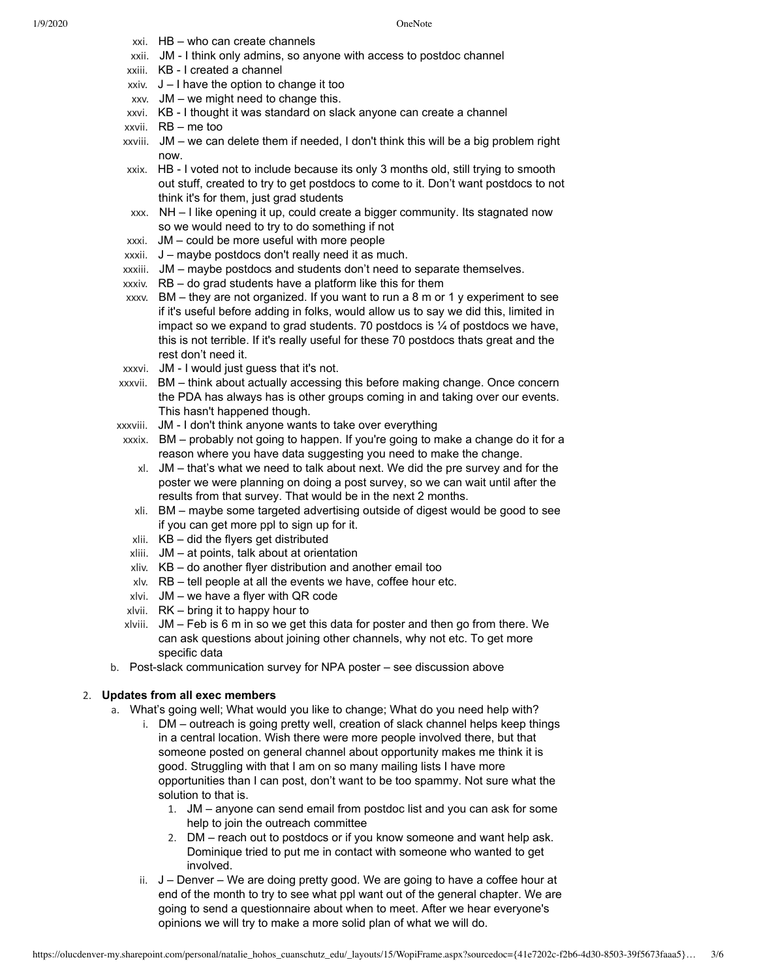- xxi. HB who can create channels
- xxii. JM I think only admins, so anyone with access to postdoc channel
- xxiii. KB I created a channel
- xxiv.  $J I$  have the option to change it too
- xxv. JM we might need to change this.
- xxvi. KB I thought it was standard on slack anyone can create a channel
- xxvii. RB me too
- xxviii. JM we can delete them if needed, I don't think this will be a big problem right now.
- xxix. HB I voted not to include because its only 3 months old, still trying to smooth out stuff, created to try to get postdocs to come to it. Don't want postdocs to not think it's for them, just grad students
- xxx. NH I like opening it up, could create a bigger community. Its stagnated now so we would need to try to do something if not
- xxxi. JM could be more useful with more people
- xxxii. J maybe postdocs don't really need it as much.
- xxxiii. JM maybe postdocs and students don't need to separate themselves.
- xxxiv. RB do grad students have a platform like this for them
- xxxv. BM they are not organized. If you want to run a 8 m or 1 y experiment to see if it's useful before adding in folks, would allow us to say we did this, limited in impact so we expand to grad students. 70 postdocs is  $\frac{1}{4}$  of postdocs we have, this is not terrible. If it's really useful for these 70 postdocs thats great and the rest don't need it.
- xxxvi. JM I would just guess that it's not.
- xxxvii. BM think about actually accessing this before making change. Once concern the PDA has always has is other groups coming in and taking over our events. This hasn't happened though.
- xxxviii. JM I don't think anyone wants to take over everything
- xxxix. BM probably not going to happen. If you're going to make a change do it for a reason where you have data suggesting you need to make the change.
	- xl. JM that's what we need to talk about next. We did the pre survey and for the poster we were planning on doing a post survey, so we can wait until after the results from that survey. That would be in the next 2 months.
	- xli. BM maybe some targeted advertising outside of digest would be good to see if you can get more ppl to sign up for it.
	- xlii. KB did the flyers get distributed
- xliii. JM at points, talk about at orientation
- xliv. KB do another flyer distribution and another email too
- xlv. RB tell people at all the events we have, coffee hour etc.
- xlvi. JM we have a flyer with QR code
- xlvii. RK bring it to happy hour to
- xlviii. JM Feb is 6 m in so we get this data for poster and then go from there. We can ask questions about joining other channels, why not etc. To get more specific data
- b. Post-slack communication survey for NPA poster see discussion above

# 2. **Updates from all exec members**

- a. What's going well; What would you like to change; What do you need help with?
	- i. DM outreach is going pretty well, creation of slack channel helps keep things in a central location. Wish there were more people involved there, but that someone posted on general channel about opportunity makes me think it is good. Struggling with that I am on so many mailing lists I have more opportunities than I can post, don't want to be too spammy. Not sure what the solution to that is.
		- 1. JM anyone can send email from postdoc list and you can ask for some help to join the outreach committee
		- 2. DM reach out to postdocs or if you know someone and want help ask. Dominique tried to put me in contact with someone who wanted to get involved.
	- ii. J Denver We are doing pretty good. We are going to have a coffee hour at end of the month to try to see what ppl want out of the general chapter. We are going to send a questionnaire about when to meet. After we hear everyone's opinions we will try to make a more solid plan of what we will do.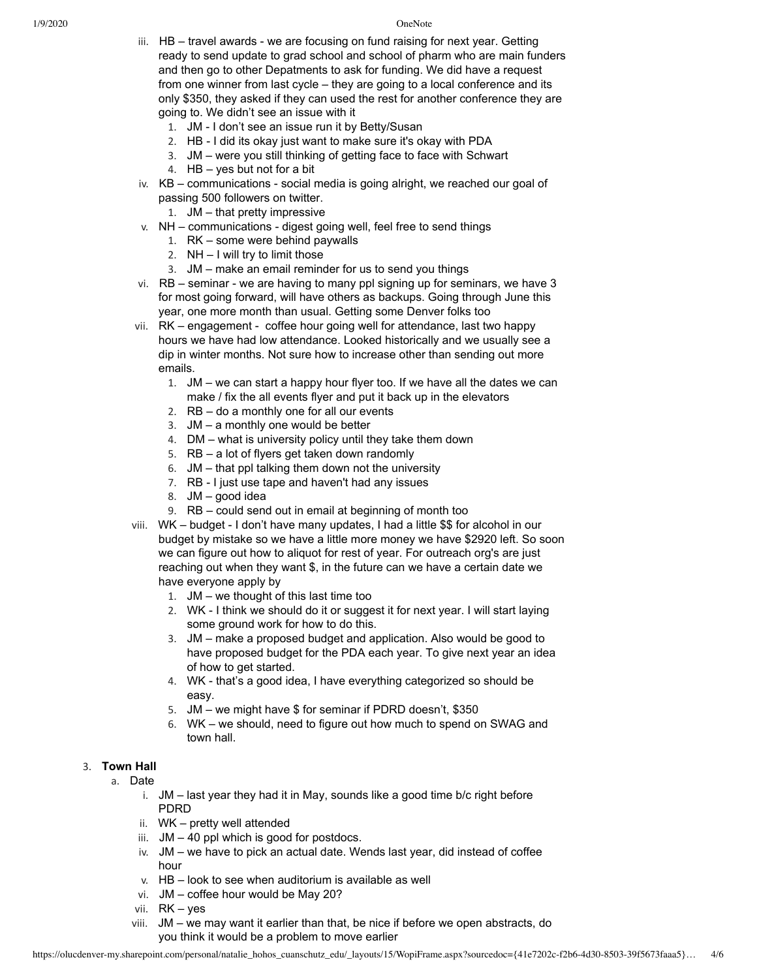#### 1/9/2020 OneNote

- iii. HB travel awards we are focusing on fund raising for next year. Getting ready to send update to grad school and school of pharm who are main funders and then go to other Depatments to ask for funding. We did have a request from one winner from last cycle – they are going to a local conference and its only \$350, they asked if they can used the rest for another conference they are going to. We didn't see an issue with it
	- 1. JM I don't see an issue run it by Betty/Susan
	- 2. HB I did its okay just want to make sure it's okay with PDA
	- 3. JM were you still thinking of getting face to face with Schwart
	- 4. HB yes but not for a bit
- iv. KB communications social media is going alright, we reached our goal of passing 500 followers on twitter.
	- 1. JM that pretty impressive
- v. NH communications digest going well, feel free to send things
	- 1. RK some were behind paywalls
	- 2. NH I will try to limit those
	- 3. JM make an email reminder for us to send you things
- vi. RB seminar we are having to many ppl signing up for seminars, we have 3 for most going forward, will have others as backups. Going through June this year, one more month than usual. Getting some Denver folks too
- vii. RK engagement coffee hour going well for attendance, last two happy hours we have had low attendance. Looked historically and we usually see a dip in winter months. Not sure how to increase other than sending out more emails.
	- 1. JM we can start a happy hour flyer too. If we have all the dates we can make / fix the all events flyer and put it back up in the elevators
	- 2. RB do a monthly one for all our events
	- 3. JM a monthly one would be better
	- 4. DM what is university policy until they take them down
	- 5. RB a lot of flyers get taken down randomly
	- 6. JM that ppl talking them down not the university
	- 7. RB I just use tape and haven't had any issues
	- 8. JM good idea
	- 9. RB could send out in email at beginning of month too
- viii. WK budget I don't have many updates, I had a little \$\$ for alcohol in our budget by mistake so we have a little more money we have \$2920 left. So soon we can figure out how to aliquot for rest of year. For outreach org's are just reaching out when they want \$, in the future can we have a certain date we have everyone apply by
	- 1. JM we thought of this last time too
	- 2. WK I think we should do it or suggest it for next year. I will start laying some ground work for how to do this.
	- 3. JM make a proposed budget and application. Also would be good to have proposed budget for the PDA each year. To give next year an idea of how to get started.
	- 4. WK that's a good idea, I have everything categorized so should be easy.
	- 5. JM we might have \$ for seminar if PDRD doesn't, \$350
	- 6. WK we should, need to figure out how much to spend on SWAG and town hall.

# 3. **Town Hall**

- a. Date
	- i. JM last year they had it in May, sounds like a good time b/c right before PDRD
	- ii. WK pretty well attended
	- iii. JM 40 ppl which is good for postdocs.
	- iv. JM we have to pick an actual date. Wends last year, did instead of coffee hour
	- v. HB look to see when auditorium is available as well
	- vi. JM coffee hour would be May 20?
	- vii. RK yes
	- viii. JM we may want it earlier than that, be nice if before we open abstracts, do you think it would be a problem to move earlier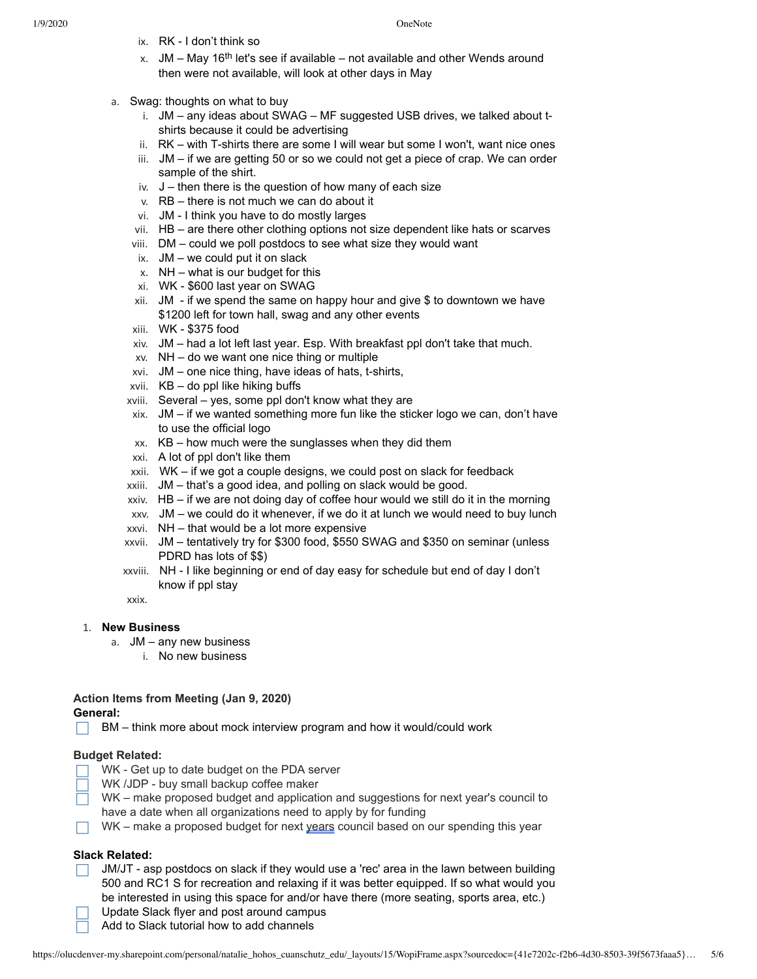- ix. RK I don't think so
- x.  $JM May 16<sup>th</sup> let's see if available not available and other Wends around$ then were not available, will look at other days in May
- a. Swag: thoughts on what to buy
	- i. JM any ideas about SWAG MF suggested USB drives, we talked about tshirts because it could be advertising
	- ii. RK with T-shirts there are some I will wear but some I won't, want nice ones
	- iii. JM if we are getting 50 or so we could not get a piece of crap. We can order sample of the shirt.
	- $iv.$  J then there is the question of how many of each size
	- v. RB there is not much we can do about it
	- vi. JM I think you have to do mostly larges
	- vii. HB are there other clothing options not size dependent like hats or scarves
	- viii. DM could we poll postdocs to see what size they would want
	- ix. JM we could put it on slack
	- x. NH what is our budget for this
	- xi. WK \$600 last year on SWAG
	- xii. JM if we spend the same on happy hour and give \$ to downtown we have \$1200 left for town hall, swag and any other events
	- xiii. WK \$375 food
	- xiv. JM had a lot left last year. Esp. With breakfast ppl don't take that much.
	- xv. NH do we want one nice thing or multiple
	- xvi. JM one nice thing, have ideas of hats, t-shirts,
	- xvii. KB do ppl like hiking buffs
	- xviii. Several yes, some ppl don't know what they are
	- xix. JM if we wanted something more fun like the sticker logo we can, don't have to use the official logo
	- xx. KB how much were the sunglasses when they did them
	- xxi. A lot of ppl don't like them
	- xxii. WK if we got a couple designs, we could post on slack for feedback
	- xxiii. JM that's a good idea, and polling on slack would be good.
	- xxiv. HB if we are not doing day of coffee hour would we still do it in the morning
	- xxv. JM we could do it whenever, if we do it at lunch we would need to buy lunch
	- xxvi. NH that would be a lot more expensive
	- xxvii. JM tentatively try for \$300 food, \$550 SWAG and \$350 on seminar (unless PDRD has lots of \$\$)
	- xxviii. NH I like beginning or end of day easy for schedule but end of day I don't know if ppl stay

xxix.

#### 1. **New Business**

- a. JM any new business
	- i. No new business

# **Action Items from Meeting (Jan 9, 2020)**

# **General:**

 $\Box$  BM – think more about mock interview program and how it would/could work

# **Budget Related:**

- WK Get up to date budget on the PDA server
- WK /JDP buy small backup coffee maker
- WK make proposed budget and application and suggestions for next year's council to have a date when all organizations need to apply by for funding
- WK make a proposed budget for next years council based on our spending this year  $\Box$

# **Slack Related:**

JM/JT - asp postdocs on slack if they would use a 'rec' area in the lawn between building 500 and RC1 S for recreation and relaxing if it was better equipped. If so what would you be interested in using this space for and/or have there (more seating, sports area, etc.)

Update Slack flyer and post around campus

Add to Slack tutorial how to add channels